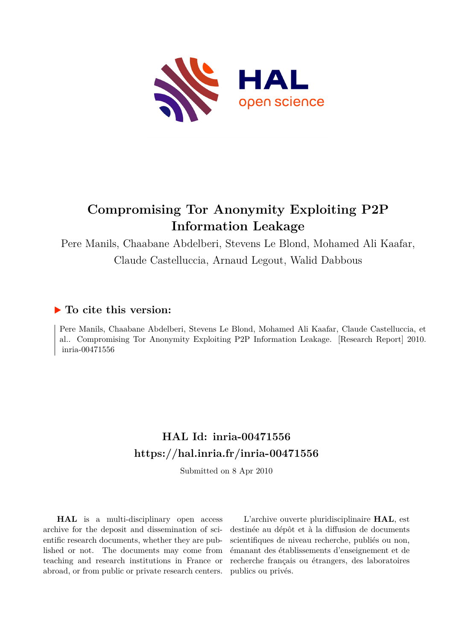

# **Compromising Tor Anonymity Exploiting P2P Information Leakage**

Pere Manils, Chaabane Abdelberi, Stevens Le Blond, Mohamed Ali Kaafar, Claude Castelluccia, Arnaud Legout, Walid Dabbous

## **To cite this version:**

Pere Manils, Chaabane Abdelberi, Stevens Le Blond, Mohamed Ali Kaafar, Claude Castelluccia, et al.. Compromising Tor Anonymity Exploiting P2P Information Leakage. [Research Report] 2010. inria-00471556

## **HAL Id: inria-00471556 <https://hal.inria.fr/inria-00471556>**

Submitted on 8 Apr 2010

**HAL** is a multi-disciplinary open access archive for the deposit and dissemination of scientific research documents, whether they are published or not. The documents may come from teaching and research institutions in France or abroad, or from public or private research centers.

L'archive ouverte pluridisciplinaire **HAL**, est destinée au dépôt et à la diffusion de documents scientifiques de niveau recherche, publiés ou non, émanant des établissements d'enseignement et de recherche français ou étrangers, des laboratoires publics ou privés.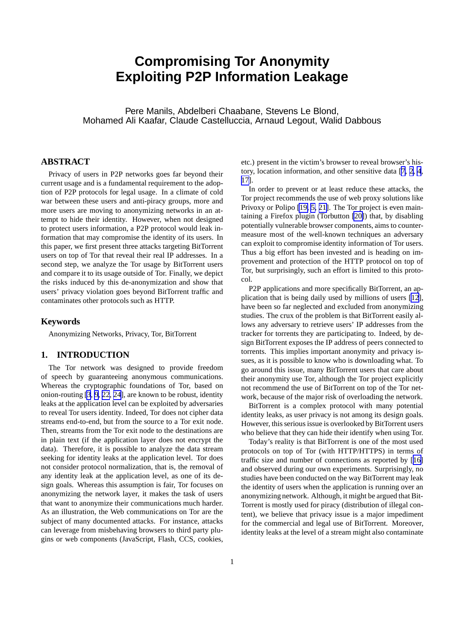## **Compromising Tor Anonymity Exploiting P2P Information Leakage**

Pere Manils, Abdelberi Chaabane, Stevens Le Blond, Mohamed Ali Kaafar, Claude Castelluccia, Arnaud Legout, Walid Dabbous

## **ABSTRACT**

Privacy of users in P2P networks goes far beyond their current usage and is a fundamental requirement to the adoption of P2P protocols for legal usage. In a climate of cold war between these users and anti-piracy groups, more and more users are moving to anonymizing networks in an attempt to hide their identity. However, when not designed to protect users information, a P2P protocol would leak information that may compromise the identity of its users. In this paper, we first present three attacks targeting BitTorrent users on top of Tor that reveal their real IP addresses. In a second step, we analyze the Tor usage by BitTorrent users and compare it to its usage outside of Tor. Finally, we depict the risks induced by this de-anonymization and show that users' privacy violation goes beyond BitTorrent traffic and contaminates other protocols such as HTTP.

#### **Keywords**

Anonymizing Networks, Privacy, Tor, BitTorrent

## **1. INTRODUCTION**

The Tor network was designed to provide freedom of speech by guaranteeing anonymous communications. Whereas the cryptographic foundations of Tor, based on onion-routing [\[3](#page-9-0), [9](#page-9-0), [22](#page-10-0), [24\]](#page-10-0), are known to be robust, identity leaks at the application level can be exploited by adversaries to reveal Tor users identity. Indeed, Tor does not cipher data streams end-to-end, but from the source to a Tor exit node. Then, streams from the Tor exit node to the destinations are in plain text (if the application layer does not encrypt the data). Therefore, it is possible to analyze the data stream seeking for identity leaks at the application level. Tor does not consider protocol normalization, that is, the removal of any identity leak at the application level, as one of its design goals. Whereas this assumption is fair, Tor focuses on anonymizing the network layer, it makes the task of users that want to anonymize their communications much harder. As an illustration, the Web communications on Tor are the subject of many documented attacks. For instance, attacks can leverage from misbehaving browsers to third party plugins or web components (JavaScript, Flash, CCS, cookies,

etc.) present in the victim's browser to reveal browser's history, location information, and other sensitive data [\[7](#page-9-0), [2,](#page-9-0) [4](#page-9-0), [17\]](#page-9-0).

In order to prevent or at least reduce these attacks, the Tor project recommends the use of web proxy solutions like Privoxy or Polipo [\[19, 5, 21\]](#page-9-0). The Tor project is even maintaining a Firefox plugin (Torbutton [\[20\]](#page-9-0)) that, by disabling potentially vulnerable browser components, aims to countermeasure most of the well-known techniques an adversary can exploit to compromise identity information of Tor users. Thus a big effort has been invested and is heading on improvement and protection of the HTTP protocol on top of Tor, but surprisingly, such an effort is limited to this protocol.

P2P applications and more specifically BitTorrent, an application that is being daily used by millions of users [\[12](#page-9-0)], have been so far neglected and excluded from anonymizing studies. The crux of the problem is that BitTorrent easily allows any adversary to retrieve users' IP addresses from the tracker for torrents they are participating to. Indeed, by design BitTorrent exposes the IP address of peers connected to torrents. This implies important anonymity and privacy issues, as it is possible to know who is downloading what. To go around this issue, many BitTorrent users that care about their anonymity use Tor, although the Tor project explicitly not recommend the use of BitTorrent on top of the Tor network, because of the major risk of overloading the network.

BitTorrent is a complex protocol with many potential identity leaks, as user privacy is not among its design goals. However, this serious issue is overlooked by BitTorrent users who believe that they can hide their identify when using Tor.

Today's reality is that BitTorrent is one of the most used protocols on top of Tor (with HTTP/HTTPS) in terms of traffic size and number of connections as reported by [[16\]](#page-9-0) and observed during our own experiments. Surprisingly, no studies have been conducted on the way BitTorrent may leak the identity of users when the application is running over an anonymizing network. Although, it might be argued that Bit-Torrent is mostly used for piracy (distribution of illegal content), we believe that privacy issue is a major impediment for the commercial and legal use of BitTorrent. Moreover, identity leaks at the level of a stream might also contaminate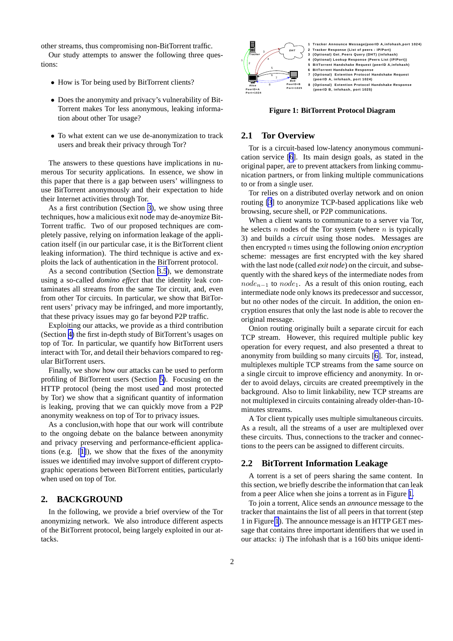<span id="page-2-0"></span>other streams, thus compromising non-BitTorrent traffic.

Our study attempts to answer the following three questions:

- How is Tor being used by BitTorrent clients?
- Does the anonymity and privacy's vulnerability of Bit-Torrent makes Tor less anonymous, leaking information about other Tor usage?
- To what extent can we use de-anonymization to track users and break their privacy through Tor?

The answers to these questions have implications in numerous Tor security applications. In essence, we show in this paper that there is a gap between users' willingness to use BitTorrent anonymously and their expectation to hide their Internet activities through Tor.

As a first contribution (Section [3\)](#page-3-0), we show using three techniques, how a malicious exit node may de-anoymize Bit-Torrent traffic. Two of our proposed techniques are completely passive, relying on information leakage of the application itself (in our particular case, it is the BitTorrent client leaking information). The third technique is active and exploits the lack of authentication in the BitTorrent protocol.

As a second contribution (Section [3.5](#page-5-0)), we demonstrate using a so-called *domino effect* that the identity leak contaminates all streams from the same Tor circuit, and, even from other Tor circuits. In particular, we show that BitTorrent users' privacy may be infringed, and more importantly, that these privacy issues may go far beyond P2P traffic.

Exploiting our attacks, we provide as a third contribution (Section [4\)](#page-5-0) the first in-depth study of BitTorrent's usages on top of Tor. In particular, we quantify how BitTorrent users interact with Tor, and detail their behaviors compared to regular BitTorrent users.

Finally, we show how our attacks can be used to perform profiling of BitTorrent users (Section [5\)](#page-7-0). Focusing on the HTTP protocol (being the most used and most protected by Tor) we show that a significant quantity of information is leaking, proving that we can quickly move from a P2P anonymity weakness on top of Tor to privacy issues.

As a conclusion,with hope that our work will contribute to the ongoing debate on the balance between anonymity and privacy preserving and performance-efficient applications (e.g. [[1\]](#page-9-0)), we show that the fixes of the anonymity issues we identified may involve support of different cryptographic operations between BitTorrent entities, particularly when used on top of Tor.

## **2. BACKGROUND**

In the following, we provide a brief overview of the Tor anonymizing network. We also introduce different aspects of the BitTorrent protocol, being largely exploited in our attacks.



**Figure 1: BitTorrent Protocol Diagram**

#### **2.1 Tor Overview**

Tor is a circuit-based low-latency anonymous communication service [\[6](#page-9-0)]. Its main design goals, as stated in the original paper, are to prevent attackers from linking communication partners, or from linking multiple communications to or from a single user.

Tor relies on a distributed overlay network and on onion routing [\[3](#page-9-0)] to anonymize TCP-based applications like web browsing, secure shell, or P2P communications.

When a client wants to communicate to a server via Tor, he selects  $n$  nodes of the Tor system (where  $n$  is typically 3) and builds a *circuit* using those nodes. Messages are then encrypted n times using the following *onion encryption* scheme: messages are first encrypted with the key shared with the last node (called *exit node*) on the circuit, and subsequently with the shared keys of the intermediate nodes from  $node_{n-1}$  to  $node_1$ . As a result of this onion routing, each intermediate node only knows its predecessor and successor, but no other nodes of the circuit. In addition, the onion encryption ensures that only the last node is able to recover the original message.

Onion routing originally built a separate circuit for each TCP stream. However, this required multiple public key operation for every request, and also presented a threat to anonymity from building so many circuits [[6\]](#page-9-0). Tor, instead, multiplexes multiple TCP streams from the same source on a single circuit to improve efficiency and anonymity. In order to avoid delays, circuits are created preemptively in the background. Also to limit linkability, new TCP streams are not multiplexed in circuits containing already older-than-10 minutes streams.

A Tor client typically uses multiple simultaneous circuits. As a result, all the streams of a user are multiplexed over these circuits. Thus, connections to the tracker and connections to the peers can be assigned to different circuits.

#### **2.2 BitTorrent Information Leakage**

A torrent is a set of peers sharing the same content. In this section, we briefly describe the information that can leak from a peer Alice when she joins a torrent as in Figure 1.

To join a torrent, Alice sends an *announce* message to the tracker that maintains the list of all peers in that torrent (step 1 in Figure 1). The announce message is an HTTP GET message that contains three important identifiers that we used in our attacks: i) The infohash that is a 160 bits unique identi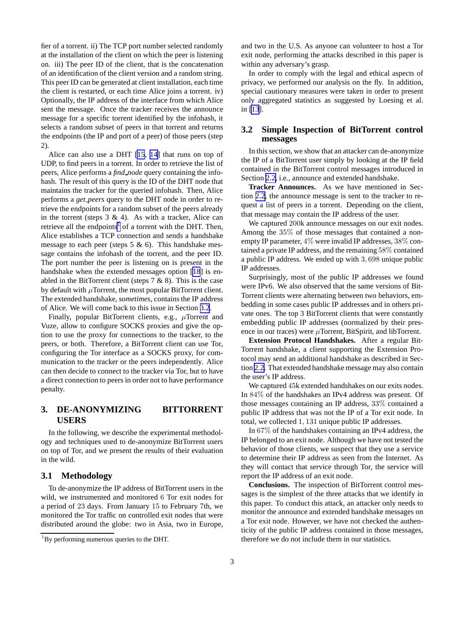<span id="page-3-0"></span>fier of a torrent. ii) The TCP port number selected randomly at the installation of the client on which the peer is listening on. iii) The peer ID of the client, that is the concatenation of an identification of the client version and a random string. This peer ID can be generated at client installation, each time the client is restarted, or each time Alice joins a torrent. iv) Optionally, the IP address of the interface from which Alice sent the message. Once the tracker receives the announce message for a specific torrent identified by the infohash, it selects a random subset of peers in that torrent and returns the endpoints (the IP and port of a peer) of those peers (step 2).

Alice can also use a DHT [\[15](#page-9-0), [14](#page-9-0)] that runs on top of UDP, to find peers in a torrent. In order to retrieve the list of peers, Alice performs a *find node* query containing the infohash. The result of this query is the ID of the DHT node that maintains the tracker for the queried infohash. Then, Alice performs a *get peers* query to the DHT node in order to retrieve the endpoints for a random subset of the peers already in the torrent (steps  $3 \& 4$ ). As with a tracker, Alice can retrieve all the endpoints<sup>1</sup> of a torrent with the DHT. Then, Alice establishes a TCP connection and sends a handshake message to each peer (steps  $5 \& 6$ ). This handshake message contains the infohash of the torrent, and the peer ID. The port number the peer is listening on is present in the handshake when the extended messages option [\[18](#page-9-0)] is enabled in the BitTorrent client (steps  $7 & 8$ ). This is the case by default with  $\mu$ Torrent, the most popular BitTorrent client. The extended handshake, *sometimes*, contains the IP address of Alice. We will come back to this issue in Section 3.2.

Finally, popular BitTorrent clients, e.g.,  $\mu$ Torrent and Vuze, allow to configure SOCKS proxies and give the option to use the proxy for connections to the tracker, to the peers, or both. Therefore, a BitTorrent client can use Tor, configuring the Tor interface as a SOCKS proxy, for communication to the tracker or the peers independently. Alice can then decide to connect to the tracker via Tor, but to have a direct connection to peers in order not to have performance penalty.

## **3. DE-ANONYMIZING BITTORRENT USERS**

In the following, we describe the experimental methodology and techniques used to de-anonymize BitTorrent users on top of Tor, and we present the results of their evaluation in the wild.

## **3.1 Methodology**

To de-anonymize the IP address of BitTorrent users in the wild, we instrumented and monitored 6 Tor exit nodes for a period of 23 days. From January 15 to February 7th, we monitored the Tor traffic on controlled exit nodes that were distributed around the globe: two in Asia, two in Europe,

and two in the U.S. As anyone can volunteer to host a Tor exit node, performing the attacks described in this paper is within any adversary's grasp.

In order to comply with the legal and ethical aspects of privacy, we performed our analysis on the fly. In addition, special cautionary measures were taken in order to present only aggregated statistics as suggested by Loesing et al. in [\[13](#page-9-0)].

## **3.2 Simple Inspection of BitTorrent control messages**

In this section, we show that an attacker can de-anonymize the IP of a BitTorrent user simply by looking at the IP field contained in the BitTorrent control messages introduced in Section [2.2,](#page-2-0) i.e., announce and extended handshake.

**Tracker Announces.** As we have mentioned in Section [2.2](#page-2-0), the announce message is sent to the tracker to request a list of peers in a torrent. Depending on the client, that message may contain the IP address of the user.

We captured 200k announce messages on our exit nodes. Among the 35% of those messages that contained a nonempty IP parameter,  $4\%$  were invalid IP addresses,  $38\%$  contained a private IP address, and the remaining 58% contained a public IP address. We ended up with 3, 698 unique public IP addresses.

Surprisingly, most of the public IP addresses we found were IPv6. We also observed that the same versions of Bit-Torrent clients were alternating between two behaviors, embedding in some cases public IP addresses and in others private ones. The top 3 BitTorrent clients that were constantly embedding public IP addresses (normalized by their presence in our traces) were  $\mu$ Torrent, BitSpirit, and libTorrent.

**Extension Protocol Handshakes.** After a regular Bit-Torrent handshake, a client supporting the Extension Protocol may send an additional handshake as described in Section [2.2.](#page-2-0) That extended handshake message may also contain the user's IP address.

We captured 45k extended handshakes on our exits nodes. In 84% of the handshakes an IPv4 address was present. Of those messages containing an IP address, 33% contained a public IP address that was not the IP of a Tor exit node. In total, we collected 1, 131 unique public IP addresses.

In 67% of the handshakes containing an IPv4 address, the IP belonged to an exit node. Although we have not tested the behavior of those clients, we suspect that they use a service to determine their IP address as seen from the Internet. As they will contact that service through Tor, the service will report the IP address of an exit node.

**Conclusions.** The inspection of BitTorrent control messages is the simplest of the three attacks that we identify in this paper. To conduct this attack, an attacker only needs to monitor the announce and extended handshake messages on a Tor exit node. However, we have not checked the authenticity of the public IP address contained in those messages, therefore we do not include them in our statistics.

<sup>&</sup>lt;sup>1</sup>By performing numerous queries to the DHT.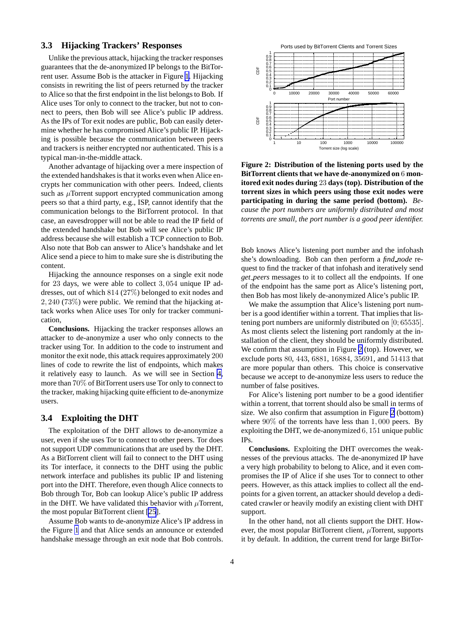## <span id="page-4-0"></span>**3.3 Hijacking Trackers' Responses**

Unlike the previous attack, hijacking the tracker responses guarantees that the de-anonymized IP belongs to the BitTorrent user. Assume Bob is the attacker in Figure [1](#page-2-0). Hijacking consists in rewriting the list of peers returned by the tracker to Alice so that the first endpoint in the list belongs to Bob. If Alice uses Tor only to connect to the tracker, but not to connect to peers, then Bob will see Alice's public IP address. As the IPs of Tor exit nodes are public, Bob can easily determine whether he has compromised Alice's public IP. Hijacking is possible because the communication between peers and trackers is neither encrypted nor authenticated. This is a typical man-in-the-middle attack.

Another advantage of hijacking over a mere inspection of the extended handshakes is that it works even when Alice encrypts her communication with other peers. Indeed, clients such as  $\mu$ Torrent support encrypted communication among peers so that a third party, e.g., ISP, cannot identify that the communication belongs to the BitTorrent protocol. In that case, an eavesdropper will not be able to read the IP field of the extended handshake but Bob will see Alice's public IP address because she will establish a TCP connection to Bob. Also note that Bob can answer to Alice's handshake and let Alice send a piece to him to make sure she is distributing the content.

Hijacking the announce responses on a single exit node for 23 days, we were able to collect 3, 054 unique IP addresses, out of which 814 (27%) belonged to exit nodes and 2, 240 (73%) were public. We remind that the hijacking attack works when Alice uses Tor only for tracker communication,

**Conclusions.** Hijacking the tracker responses allows an attacker to de-anonymize a user who only connects to the tracker using Tor. In addition to the code to instrument and monitor the exit node, this attack requires approximately 200 lines of code to rewrite the list of endpoints, which makes it relatively easy to launch. As we will see in Section [4,](#page-5-0) more than 70% of BitTorrent users use Tor only to connect to the tracker, making hijacking quite efficient to de-anonymize users.

#### **3.4 Exploiting the DHT**

The exploitation of the DHT allows to de-anonymize a user, even if she uses Tor to connect to other peers. Tor does not support UDP communications that are used by the DHT. As a BitTorrent client will fail to connect to the DHT using its Tor interface, it connects to the DHT using the public network interface and publishes its public IP and listening port into the DHT. Therefore, even though Alice connects to Bob through Tor, Bob can lookup Alice's public IP address in the DHT. We have validated this behavior with  $\mu$ Torrent, the most popular BitTorrent client [[25](#page-10-0)].

Assume Bob wants to de-anonymize Alice's IP address in the Figure [1](#page-2-0) and that Alice sends an announce or extended handshake message through an exit node that Bob controls.



**Figure 2: Distribution of the listening ports used by the BitTorrent clients that we have de-anonymized on** 6 **monitored exit nodes during** 23 **days (top). Distribution of the torrent sizes in which peers using those exit nodes were participating in during the same period (bottom).** *Because the port numbers are uniformly distributed and most torrents are small, the port number is a good peer identifier.*

Bob knows Alice's listening port number and the infohash she's downloading. Bob can then perform a *find node* request to find the tracker of that infohash and iteratively send *get peers* messages to it to collect all the endpoints. If one of the endpoint has the same port as Alice's listening port, then Bob has most likely de-anonymized Alice's public IP.

We make the assumption that Alice's listening port number is a good identifier within a torrent. That implies that listening port numbers are uniformly distributed on [0; 65535]. As most clients select the listening port randomly at the installation of the client, they should be uniformly distributed. We confirm that assumption in Figure 2 (top). However, we exclude ports 80, 443, 6881, 16884, 35691, and 51413 that are more popular than others. This choice is conservative because we accept to de-anonymize less users to reduce the number of false positives.

For Alice's listening port number to be a good identifier within a torrent, that torrent should also be small in terms of size. We also confirm that assumption in Figure 2 (bottom) where  $90\%$  of the torrents have less than 1,000 peers. By exploiting the DHT, we de-anonymized 6, 151 unique public IPs.

**Conclusions.** Exploiting the DHT overcomes the weaknesses of the previous attacks. The de-anonymized IP have a very high probability to belong to Alice, and it even compromises the IP of Alice if she uses Tor to connect to other peers. However, as this attack implies to collect all the endpoints for a given torrent, an attacker should develop a dedicated crawler or heavily modify an existing client with DHT support.

In the other hand, not all clients support the DHT. However, the most popular BitTorrent client,  $\mu$ Torrent, supports it by default. In addition, the current trend for large BitTor-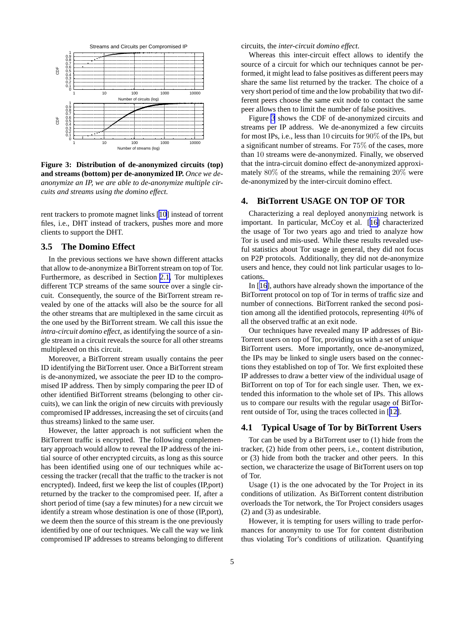<span id="page-5-0"></span>

**Figure 3: Distribution of de-anonymized circuits (top) and streams (bottom) per de-anonymized IP.** *Once we deanonymize an IP, we are able to de-anonymize multiple circuits and streams using the domino effect.*

rent trackers to promote magnet links [[10\]](#page-9-0) instead of torrent files, i.e., DHT instead of trackers, pushes more and more clients to support the DHT.

## **3.5 The Domino Effect**

In the previous sections we have shown different attacks that allow to de-anonymize a BitTorrent stream on top of Tor. Furthermore, as described in Section [2.1,](#page-2-0) Tor multiplexes different TCP streams of the same source over a single circuit. Consequently, the source of the BitTorrent stream revealed by one of the attacks will also be the source for all the other streams that are multiplexed in the same circuit as the one used by the BitTorrent stream. We call this issue the *intra-circuit domino effect*, as identifying the source of a single stream in a circuit reveals the source for all other streams multiplexed on this circuit.

Moreover, a BitTorrent stream usually contains the peer ID identifying the BitTorrent user. Once a BitTorrent stream is de-anonymized, we associate the peer ID to the compromised IP address. Then by simply comparing the peer ID of other identified BitTorrent streams (belonging to other circuits), we can link the origin of new circuits with previously compromised IP addresses, increasing the set of circuits (and thus streams) linked to the same user.

However, the latter approach is not sufficient when the BitTorrent traffic is encrypted. The following complementary approach would allow to reveal the IP address of the initial source of other encrypted circuits, as long as this source has been identified using one of our techniques while accessing the tracker (recall that the traffic to the tracker is not encrypted). Indeed, first we keep the list of couples (IP,port) returned by the tracker to the compromised peer. If, after a short period of time (say a few minutes) for a new circuit we identify a stream whose destination is one of those (IP,port), we deem then the source of this stream is the one previously identified by one of our techniques. We call the way we link compromised IP addresses to streams belonging to different circuits, the *inter-circuit domino effect*.

Whereas this inter-circuit effect allows to identify the source of a circuit for which our techniques cannot be performed, it might lead to false positives as different peers may share the same list returned by the tracker. The choice of a very short period of time and the low probability that two different peers choose the same exit node to contact the same peer allows then to limit the number of false positives.

Figure 3 shows the CDF of de-anonymized circuits and streams per IP address. We de-anonymized a few circuits for most IPs, i.e., less than 10 circuits for 90% of the IPs, but a significant number of streams. For 75% of the cases, more than 10 streams were de-anonymized. Finally, we observed that the intra-circuit domino effect de-anonymized approximately 80% of the streams, while the remaining 20% were de-anonymized by the inter-circuit domino effect.

#### **4. BitTorrent USAGE ON TOP OF TOR**

Characterizing a real deployed anonymizing network is important. In particular, McCoy et al. [[16\]](#page-9-0) characterized the usage of Tor two years ago and tried to analyze how Tor is used and mis-used. While these results revealed useful statistics about Tor usage in general, they did not focus on P2P protocols. Additionally, they did not de-anonymize users and hence, they could not link particular usages to locations.

In [[16\]](#page-9-0), authors have already shown the importance of the BitTorrent protocol on top of Tor in terms of traffic size and number of connections. BitTorrent ranked the second position among all the identified protocols, representing 40% of all the observed traffic at an exit node.

Our techniques have revealed many IP addresses of Bit-Torrent users on top of Tor, providing us with a set of *unique* BitTorrent users. More importantly, once de-anonymized, the IPs may be linked to single users based on the connections they established on top of Tor. We first exploited these IP addresses to draw a better view of the individual usage of BitTorrent on top of Tor for each single user. Then, we extended this information to the whole set of IPs. This allows us to compare our results with the regular usage of BitTorrent outside of Tor, using the traces collected in [[12\]](#page-9-0).

## **4.1 Typical Usage of Tor by BitTorrent Users**

Tor can be used by a BitTorrent user to (1) hide from the tracker, (2) hide from other peers, i.e., content distribution, or (3) hide from both the tracker and other peers. In this section, we characterize the usage of BitTorrent users on top of Tor.

Usage (1) is the one advocated by the Tor Project in its conditions of utilization. As BitTorrent content distribution overloads the Tor network, the Tor Project considers usages (2) and (3) as undesirable.

However, it is tempting for users willing to trade performances for anonymity to use Tor for content distribution thus violating Tor's conditions of utilization. Quantifying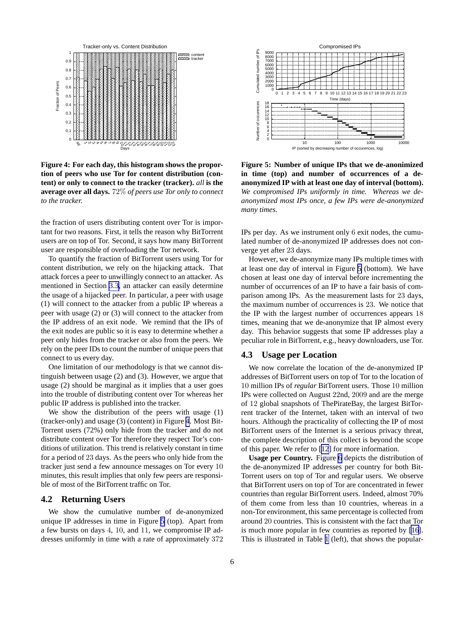

**Figure 4: For each day, this histogram shows the proportion of peers who use Tor for content distribution (content) or only to connect to the tracker (tracker).** *all* **is the average over all days.** 72% *of peers use Tor only to connect to the tracker.*

the fraction of users distributing content over Tor is important for two reasons. First, it tells the reason why BitTorrent users are on top of Tor. Second, it says how many BitTorrent user are responsible of overloading the Tor network.

To quantify the fraction of BitTorrent users using Tor for content distribution, we rely on the hijacking attack. That attack forces a peer to unwillingly connect to an attacker. As mentioned in Section [3.3](#page-4-0), an attacker can easily determine the usage of a hijacked peer. In particular, a peer with usage (1) will connect to the attacker from a public IP whereas a peer with usage (2) or (3) will connect to the attacker from the IP address of an exit node. We remind that the IPs of the exit nodes are public so it is easy to determine whether a peer only hides from the tracker or also from the peers. We rely on the peer IDs to count the number of unique peers that connect to us every day.

One limitation of our methodology is that we cannot distinguish between usage (2) and (3). However, we argue that usage (2) should be marginal as it implies that a user goes into the trouble of distributing content over Tor whereas her public IP address is published into the tracker.

We show the distribution of the peers with usage (1) (tracker-only) and usage (3) (content) in Figure 4. Most Bit-Torrent users (72%) only hide from the tracker and do not distribute content over Tor therefore they respect Tor's conditions of utilization. This trend is relatively constant in time for a period of 23 days. As the peers who only hide from the tracker just send a few announce messages on Tor every 10 minutes, this result implies that only few peers are responsible of most of the BitTorrent traffic on Tor.

#### **4.2 Returning Users**

We show the cumulative number of de-anonymized unique IP addresses in time in Figure 5 (top). Apart from a few bursts on days 4, 10, and 11, we compromise IP addresses uniformly in time with a rate of approximately 372



**Figure 5: Number of unique IPs that we de-anonimized in time (top) and number of occurrences of a deanonymized IP with at least one day of interval (bottom).** *We compromised IPs uniformly in time. Whereas we deanonymized most IPs once, a few IPs were de-anonymized many times.*

IPs per day. As we instrument only 6 exit nodes, the cumulated number of de-anonymized IP addresses does not converge yet after 23 days.

However, we de-anonymize many IPs multiple times with at least one day of interval in Figure 5 (bottom). We have chosen at least one day of interval before incrementing the number of occurrences of an IP to have a fair basis of comparison among IPs. As the measurement lasts for 23 days, the maximum number of occurrences is 23. We notice that the IP with the largest number of occurrences appears 18 times, meaning that we de-anonymize that IP almost every day. This behavior suggests that some IP addresses play a peculiar role in BitTorrent, e.g., heavy downloaders, use Tor.

## **4.3 Usage per Location**

We now correlate the location of the de-anonymized IP addresses of BitTorrent users on top of Tor to the location of 10 million IPs of *regular* BitTorrent users. Those 10 million IPs were collected on August 22nd, 2009 and are the merge of 12 global snapshots of ThePirateBay, the largest BitTorrent tracker of the Internet, taken with an interval of two hours. Although the practicality of collecting the IP of most BitTorrent users of the Internet is a serious privacy threat, the complete description of this collect is beyond the scope of this paper. We refer to [[12](#page-9-0)] for more information.

**Usage per Country.** Figure [6](#page-7-0) depicts the distribution of the de-anonymized IP addresses per country for both Bit-Torrent users on top of Tor and regular users. We observe that BitTorrent users on top of Tor are concentrated in fewer countries than regular BitTorrent users. Indeed, almost 70% of them come from less than 10 countries, whereas in a non-Tor environment, this same percentage is collected from around 20 countries. This is consistent with the fact that Tor is much more popular in few countries as reported by [\[16](#page-9-0)]. This is illustrated in Table [1](#page-7-0) (left), that shows the popular-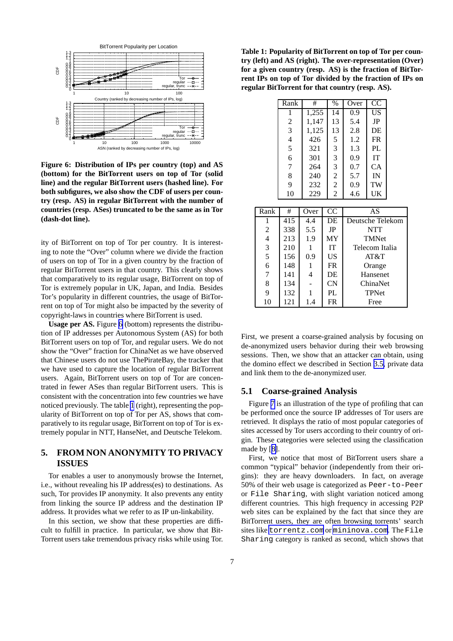<span id="page-7-0"></span>

**Figure 6: Distribution of IPs per country (top) and AS (bottom) for the BitTorrent users on top of Tor (solid line) and the regular BitTorrent users (hashed line). For both subfigures, we also show the CDF of users per country (resp. AS) in regular BitTorrent with the number of countries (resp. ASes) truncated to be the same as in Tor (dash-dot line).**

ity of BitTorrent on top of Tor per country. It is interesting to note the "Over" column where we divide the fraction of users on top of Tor in a given country by the fraction of regular BitTorrent users in that country. This clearly shows that comparatively to its regular usage, BitTorrent on top of Tor is extremely popular in UK, Japan, and India. Besides Tor's popularity in different countries, the usage of BitTorrent on top of Tor might also be impacted by the severity of copyright-laws in countries where BitTorrent is used.

**Usage per AS.** Figure 6 (bottom) represents the distribution of IP addresses per Autonomous System (AS) for both BitTorrent users on top of Tor, and regular users. We do not show the "Over" fraction for ChinaNet as we have observed that Chinese users do not use ThePirateBay, the tracker that we have used to capture the location of regular BitTorrent users. Again, BitTorrent users on top of Tor are concentrated in fewer ASes than regular BitTorrent users. This is consistent with the concentration into few countries we have noticed previously. The table 1 (right), representing the popularity of BitTorrent on top of Tor per AS, shows that comparatively to its regular usage, BitTorrent on top of Tor is extremely popular in NTT, HanseNet, and Deutsche Telekom.

## **5. FROM NON ANONYMITY TO PRIVACY ISSUES**

Tor enables a user to anonymously browse the Internet, i.e., without revealing his IP address(es) to destinations. As such, Tor provides IP anonymity. It also prevents any entity from linking the source IP address and the destination IP address. It provides what we refer to as IP un-linkability.

In this section, we show that these properties are difficult to fulfill in practice. In particular, we show that Bit-Torrent users take tremendous privacy risks while using Tor.

**Table 1: Popularity of BitTorrent on top of Tor per country (left) and AS (right). The over-representation (Over) for a given country (resp. AS) is the fraction of BitTorrent IPs on top of Tor divided by the fraction of IPs on regular BitTorrent for that country (resp. AS).**

|                | Rank<br>#      |       |       | $\%$                 | Over             | CC        |  |
|----------------|----------------|-------|-------|----------------------|------------------|-----------|--|
|                |                |       |       | 14                   |                  |           |  |
|                | 1              |       | 1,255 |                      | 0.9              | <b>US</b> |  |
|                | $\overline{c}$ | 1,147 |       | 13                   | 5.4              | JP        |  |
|                | $\mathfrak{Z}$ |       | 1,125 |                      | 2.8              | DE        |  |
|                | $\overline{4}$ | 426   |       |                      | 1.2              | <b>FR</b> |  |
|                | 5              | 321   |       | 3                    | 1.3              | PL        |  |
|                | 6              | 301   |       |                      | 0.9              | IT        |  |
|                | 7              | 264   |       |                      | 0.7              | CA        |  |
|                | 8              | 240   |       |                      | 5.7              | IN        |  |
|                | 9              | 232   |       | $\frac{2}{2}$        | 0.9              | TW        |  |
|                | 10             | 229   |       | $\overline{c}$       | 4.6              | UK        |  |
|                |                |       |       |                      |                  |           |  |
| Rank           | #              | Over  |       | CC                   | AS               |           |  |
| 1              | 415            | 4.4   |       | DE                   | Deutsche Telekom |           |  |
| 2              | 338            | 5.5   |       | JP                   | NTT              |           |  |
| $\overline{4}$ | 213            | 1.9   |       | MY                   | <b>TMNet</b>     |           |  |
| 3              | 210            | 1     |       | IT<br>Telecom Italia |                  |           |  |
| 5              | 156            | 0.9   |       | US.                  | AT&T             |           |  |
| 6              | 148            | 1     |       | <b>FR</b>            | Orange           |           |  |
| $\overline{7}$ | 141            | 4     |       | DE                   | Hansenet         |           |  |
| 8              | 134            |       |       | <b>CN</b>            | ChinaNet         |           |  |
| 9              | 132            | 1     |       | PL                   | TPNet            |           |  |
| 10             | 121            | 1.4   |       | <b>FR</b>            | Free             |           |  |

First, we present a coarse-grained analysis by focusing on de-anonymized users behavior during their web browsing sessions. Then, we show that an attacker can obtain, using the domino effect we described in Section [3.5,](#page-5-0) private data and link them to the de-anonymized user.

#### **5.1 Coarse-grained Analysis**

Figure [7](#page-8-0) is an illustration of the type of profiling that can be performed once the source IP addresses of Tor users are retrieved. It displays the ratio of most popular categories of sites accessed by Tor users according to their country of origin. These categories were selected using the classification made by [[8\]](#page-9-0).

First, we notice that most of BitTorrent users share a common "typical" behavior (independently from their origins): they are heavy downloaders. In fact, on average 50% of their web usage is categorized as Peer-to-Peer or File Sharing, with slight variation noticed among different countries. This high frequency in accessing P2P web sites can be explained by the fact that since they are BitTorrent users, they are often browsing torrents' search sites like <torrentz.com> or <mininova.com>. The File Sharing category is ranked as second, which shows that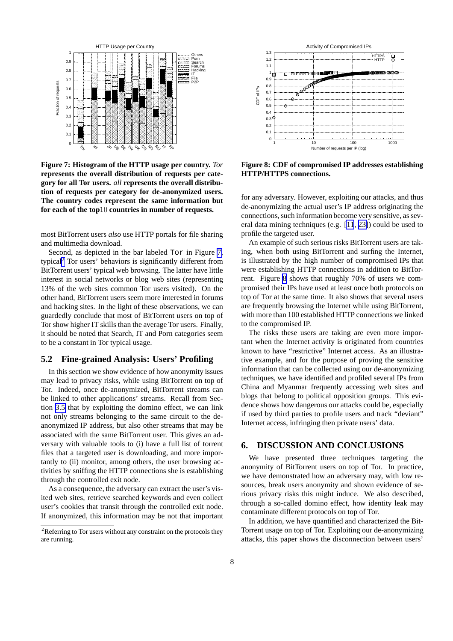<span id="page-8-0"></span>

**Figure 7: Histogram of the HTTP usage per country.** *Tor* **represents the overall distribution of requests per category for all Tor users.** *all* **represents the overall distribution of requests per category for de-anonymized users. The country codes represent the same information but for each of the top**10 **countries in number of requests.**

most BitTorrent users *also* use HTTP portals for file sharing and multimedia download.

Second, as depicted in the bar labeled Tor in Figure 7, typical<sup>2</sup> Tor users' behaviors is significantly different from BitTorrent users' typical web browsing. The latter have little interest in social networks or blog web sites (representing 13% of the web sites common Tor users visited). On the other hand, BitTorrent users seem more interested in forums and hacking sites. In the light of these observations, we can guardedly conclude that most of BitTorrent users on top of Tor show higher IT skills than the average Tor users. Finally, it should be noted that Search, IT and Porn categories seem to be a constant in Tor typical usage.

## **5.2 Fine-grained Analysis: Users' Profiling**

In this section we show evidence of how anonymity issues may lead to privacy risks, while using BitTorrent on top of Tor. Indeed, once de-anonymized, BitTorrent streams can be linked to other applications' streams. Recall from Section [3.5](#page-5-0) that by exploiting the domino effect, we can link not only streams belonging to the same circuit to the deanonymized IP address, but also other streams that may be associated with the same BitTorrent user. This gives an adversary with valuable tools to (i) have a full list of torrent files that a targeted user is downloading, and more importantly to (ii) monitor, among others, the user browsing activities by sniffing the HTTP connections she is establishing through the controlled exit node.

As a consequence, the adversary can extract the user's visited web sites, retrieve searched keywords and even collect user's cookies that transit through the controlled exit node. If anonymized, this information may be not that important



**Figure 8: CDF of compromised IP addresses establishing HTTP/HTTPS connections.**

for any adversary. However, exploiting our attacks, and thus de-anonymizing the actual user's IP address originating the connections, such information become very sensitive, as several data mining techniques (e.g. [\[11](#page-9-0), [23\]](#page-10-0)) could be used to profile the targeted user.

An example of such serious risks BitTorrent users are taking, when both using BitTorrent and surfing the Internet, is illustrated by the high number of compromised IPs that were establishing HTTP connections in addition to BitTorrent. Figure 8 shows that roughly 70% of users we compromised their IPs have used at least once both protocols on top of Tor at the same time. It also shows that several users are frequently browsing the Internet while using BitTorrent, with more than 100 established HTTP connections we linked to the compromised IP.

The risks these users are taking are even more important when the Internet activity is originated from countries known to have "restrictive" Internet access. As an illustrative example, and for the purpose of proving the sensitive information that can be collected using our de-anonymizing techniques, we have identified and profiled several IPs from China and Myanmar frequently accessing web sites and blogs that belong to political opposition groups. This evidence shows how dangerous our attacks could be, especially if used by third parties to profile users and track "deviant" Internet access, infringing then private users' data.

## **6. DISCUSSION AND CONCLUSIONS**

We have presented three techniques targeting the anonymity of BitTorrent users on top of Tor. In practice, we have demonstrated how an adversary may, with low resources, break users anonymity and shown evidence of serious privacy risks this might induce. We also described, through a so-called domino effect, how identity leak may contaminate different protocols on top of Tor.

In addition, we have quantified and characterized the Bit-Torrent usage on top of Tor. Exploiting our de-anonymizing attacks, this paper shows the disconnection between users'

<sup>&</sup>lt;sup>2</sup>Referring to Tor users without any constraint on the protocols they are running.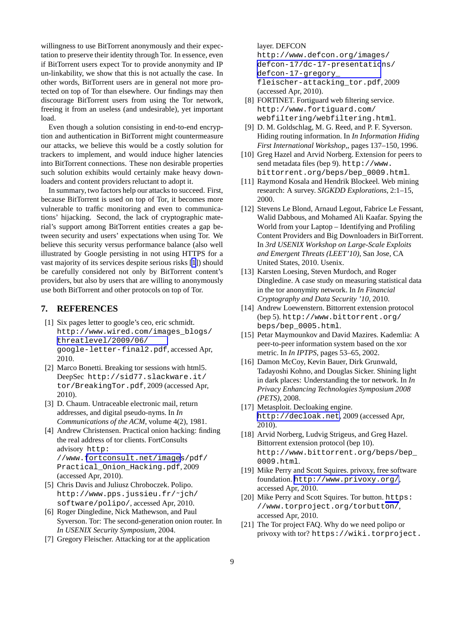<span id="page-9-0"></span>willingness to use BitTorrent anonymously and their expectation to preserve their identity through Tor. In essence, even if BitTorrent users expect Tor to provide anonymity and IP un-linkability, we show that this is not actually the case. In other words, BitTorrent users are in general not more protected on top of Tor than elsewhere. Our findings may then discourage BitTorrent users from using the Tor network, freeing it from an useless (and undesirable), yet important load.

Even though a solution consisting in end-to-end encryption and authentication in BitTorrent might countermeasure our attacks, we believe this would be a costly solution for trackers to implement, and would induce higher latencies into BitTorrent connections. These non desirable properties such solution exhibits would certainly make heavy downloaders and content providers reluctant to adopt it.

In summary, two factors help our attacks to succeed. First, because BitTorrent is used on top of Tor, it becomes more vulnerable to traffic monitoring and even to communications' hijacking. Second, the lack of cryptographic material's support among BitTorrent entities creates a gap between security and users' expectations when using Tor. We believe this security versus performance balance (also well illustrated by Google persisting in not using HTTPS for a vast majority of its services despite serious risks [1]) should be carefully considered not only by BitTorrent content's providers, but also by users that are willing to anonymously use both BitTorrent and other protocols on top of Tor.

#### **7. REFERENCES**

- [1] Six pages letter to google's ceo, eric schmidt. http://www.wired.com/images\_blogs/ [threatlevel/2009/06/](http://www.wired.com/images_blogs/threatlevel/2009/06/google-letter-final2.pdf) google-letter-final2.pdf, accessed Apr, 2010.
- [2] Marco Bonetti. Breaking tor sessions with html5. DeepSec http://sid77.slackware.it/ tor/BreakingTor.pdf, 2009 (accessed Apr, 2010).
- [3] D. Chaum. Untraceable electronic mail, return addresses, and digital pseudo-nyms. In *In Communications of the ACM*, volume 4(2), 1981.
- [4] Andrew Christensen. Practical onion hacking: finding the real address of tor clients. FortConsults advisory http: //www.[fortconsult.net/images](http://www.fortconsult.net/images/pdf/Practical_Onion_Hacking.pdf)/pdf/ Practical\_Onion\_Hacking.pdf, 2009 (accessed Apr, 2010).
- [5] Chris Davis and Juliusz Chroboczek. Polipo. http://www.pps.jussieu.fr/˜jch/ software/polipo/, accessed Apr, 2010.
- [6] Roger Dingledine, Nick Mathewson, and Paul Syverson. Tor: The second-generation onion router. In *In USENIX Security Symposium*, 2004.
- [7] Gregory Fleischer. Attacking tor at the application

layer. DEFCON

http://www.defcon.org/images/ [defcon-17/dc-17-presentatio](http://www.defcon.org/images/defcon-17/dc-17-presentations/defcon-17-gregory_fleischer-attacking_tor.pdf)ns/ defcon-17-gregory\_ fleischer-attacking\_tor.pdf, 2009 (accessed Apr, 2010).

- [8] FORTINET. Fortiguard web filtering service. http://www.fortiguard.com/ webfiltering/webfiltering.html.
- [9] D. M. Goldschlag, M. G. Reed, and P. F. Syverson. Hiding routing information. In *In Information Hiding First International Workshop,*, pages 137–150, 1996.
- [10] Greg Hazel and Arvid Norberg. Extension for peers to send metadata files (bep 9). http://www. bittorrent.org/beps/bep\_0009.html.
- [11] Raymond Kosala and Hendrik Blockeel. Web mining research: A survey. *SIGKDD Explorations*, 2:1–15, 2000.
- [12] Stevens Le Blond, Arnaud Legout, Fabrice Le Fessant, Walid Dabbous, and Mohamed Ali Kaafar. Spying the World from your Laptop – Identifying and Profiling Content Providers and Big Downloaders in BitTorrent. In *3rd USENIX Workshop on Large-Scale Exploits and Emergent Threats (LEET'10)*, San Jose, CA United States, 2010. Usenix.
- [13] Karsten Loesing, Steven Murdoch, and Roger Dingledine. A case study on measuring statistical data in the tor anonymity network. In *In Financial Cryptography and Data Security '10*, 2010.
- [14] Andrew Loewenstern. Bittorrent extension protocol (bep 5). http://www.bittorrent.org/ beps/bep\_0005.html.
- [15] Petar Maymounkov and David Mazires. Kademlia: A peer-to-peer information system based on the xor metric. In *In IPTPS*, pages 53–65, 2002.
- [16] Damon McCoy, Kevin Bauer, Dirk Grunwald, Tadayoshi Kohno, and Douglas Sicker. Shining light in dark places: Understanding the tor network. In *In Privacy Enhancing Technologies Symposium 2008 (PETS)*, 2008.
- [17] Metasploit. Decloaking engine. <http://decloak.net>, 2009 (accessed Apr, 2010).
- [18] Arvid Norberg, Ludvig Strigeus, and Greg Hazel. Bittorrent extension protocol (bep 10). http://www.bittorrent.org/beps/bep\_ 0009.html.
- [19] Mike Perry and Scott Squires. privoxy, free software foundation. <http://www.privoxy.org/>, accessed Apr, 2010.
- [20] Mike Perry and Scott Squires. Tor button. https: //www.torproject.org/torbutton/, accessed Apr, 2010.
- [21] The Tor project FAQ. Why do we need polipo or privoxy with tor? https://wiki.torproject.